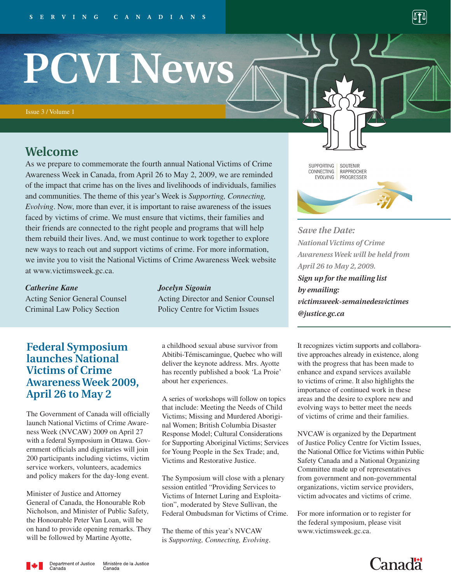# **PCVI News**

Issue 3 / Volume 1

# **Welcome**

As we prepare to commemorate the fourth annual National Victims of Crime Awareness Week in Canada, from April 26 to May 2, 2009, we are reminded of the impact that crime has on the lives and livelihoods of individuals, families and communities. The theme of this year's Week is *Supporting, Connecting, Evolving*. Now, more than ever, it is important to raise awareness of the issues faced by victims of crime. We must ensure that victims, their families and their friends are connected to the right people and programs that will help them rebuild their lives. And, we must continue to work together to explore new ways to reach out and support victims of crime. For more information, we invite you to visit the National Victims of Crime Awareness Week website at www.victimsweek.gc.ca.

### *Catherine Kane Jocelyn Sigouin*

Acting Senior General Counsel Acting Director and Senior Counsel Criminal Law Policy Section Policy Centre for Victim Issues

## **Federal Symposium launches National Victims of Crime Awareness Week 2009, April 26 to May 2**

The Government of Canada will officially launch National Victims of Crime Awareness Week (NVCAW) 2009 on April 27 with a federal Symposium in Ottawa. Government officials and dignitaries will join 200 participants including victims, victim service workers, volunteers, academics and policy makers for the day-long event.

Minister of Justice and Attorney General of Canada, the Honourable Rob Nicholson, and Minister of Public Safety, the Honourable Peter Van Loan, will be on hand to provide opening remarks. They will be followed by Martine Ayotte,

a childhood sexual abuse survivor from Abitibi-Témiscamingue, Quebec who will deliver the keynote address. Mrs. Ayotte has recently published a book 'La Proie' about her experiences.

A series of workshops will follow on topics that include: Meeting the Needs of Child Victims; Missing and Murdered Aboriginal Women; British Columbia Disaster Response Model; Cultural Considerations for Supporting Aboriginal Victims; Services for Young People in the Sex Trade; and, Victims and Restorative Justice.

The Symposium will close with a plenary session entitled "Providing Services to Victims of Internet Luring and Exploitation", moderated by Steve Sullivan, the Federal Ombudsman for Victims of Crime.

The theme of this year's NVCAW is *Supporting, Connecting, Evolving*. SUPPORTING | SOUTENIR RAPPROCHER CONNECTING EVOLVING PROGRESSER

*Save the Date: National Victims of Crime Awareness Week will be held from April 26 to May 2, 2009. Sign up for the mailing list by emailing: victimsweek-semainedesvictimes @justice.gc.ca* 

It recognizes victim supports and collaborative approaches already in existence, along with the progress that has been made to enhance and expand services available to victims of crime. It also highlights the importance of continued work in these areas and the desire to explore new and evolving ways to better meet the needs of victims of crime and their families.

NVCAW is organized by the Department of Justice Policy Centre for Victim Issues, the National Office for Victims within Public Safety Canada and a National Organizing Committee made up of representatives from government and non-governmental organizations, victim service providers, victim advocates and victims of crime.

For more information or to register for the federal symposium, please visit www.victimsweek.gc.ca.